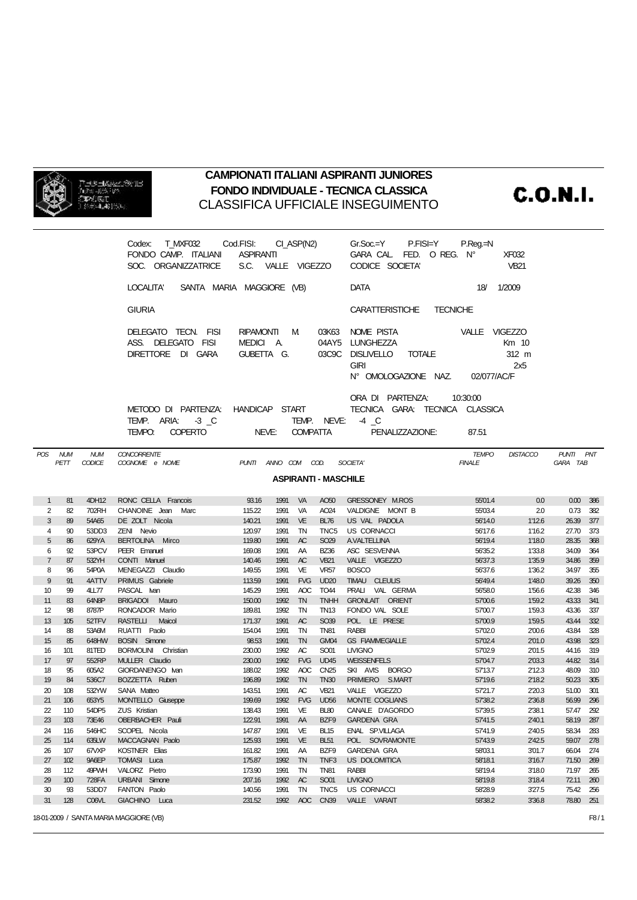

## **CAMPIONATI ITALIANI ASPIRANTI JUNIORES FONDO INDIVIDUALE - TECNICA CLASSICA** CLASSIFICA UFFICIALE INSEGUIMENTO

**C.O.N.I.** 

|                |                 | T_MXF032    Cod.FISI:    CI_ASP(N2)<br>Codex:<br>FONDO CAMP. ITALIANI<br>SOC. ORGANIZZATRICE |                                                                                                    |                                      | ASPIRANTI    | S.C. VALLE VIGEZZO                                        | Gr.Soc.=Y P.FISI=Y<br>GARA CAL FED. O REG. Nº<br>CODICE SOCIETA'                                | $P_{\cdot}$ Req $=$ N         | <b>XF032</b><br><b>VB21</b> |                       |     |
|----------------|-----------------|----------------------------------------------------------------------------------------------|----------------------------------------------------------------------------------------------------|--------------------------------------|--------------|-----------------------------------------------------------|-------------------------------------------------------------------------------------------------|-------------------------------|-----------------------------|-----------------------|-----|
|                |                 |                                                                                              | SANTA MARIA MAGGIORE (VB)<br>LOCALITA'                                                             |                                      |              |                                                           | <b>DATA</b>                                                                                     | 18/                           | 1/2009                      |                       |     |
|                |                 |                                                                                              | <b>GIURIA</b>                                                                                      |                                      |              |                                                           | CARATTERISTICHE TECNICHE                                                                        |                               |                             |                       |     |
|                |                 |                                                                                              | DELEGATO TECN. FISI<br>ASS. DELEGATO FISI<br>DIRETTORE DI GARA                                     | RIPAMONTI<br>MEDICI A.<br>GUBETTA G. | M            | 03K63                                                     | NOME PISTA<br>04AY5 LUNGHEZZA<br>03C9C DISLIVELLO TOTALE<br><b>GIRI</b><br>N° OMOLOGAZIONE NAZ. | VALLE VIGEZZO<br>02/077/AC/F  | Km 10<br>312 m<br>2x5       |                       |     |
|                |                 |                                                                                              | METODO DI PARTENZA: HANDICAP START<br>TEMP. ARIA:<br>$-3$ $\_\text{C}$<br><b>COPERTO</b><br>TEMPO: | NEVE:                                |              | <b>COMPATTA</b>                                           | ORA DI PARTENZA:<br>TECNICA GARA: TECNICA CLASSICA<br>TEMP. NEVE: 4 C<br>PENALIZZAZIONE:        | 10:30:00<br>87.51             |                             |                       |     |
|                | POS NUM<br>PETT | <b>NUM</b><br><b>CODICE</b>                                                                  | <b>CONCORRENTE</b><br>COGNOME e NOME                                                               | PUNTI ANNO COM COD.                  |              |                                                           | SOCIETA'                                                                                        | <b>TEMPO</b><br><b>FINALE</b> | <b>DISTACCO</b>             | PUNTI PNT<br>GARA TAB |     |
|                |                 |                                                                                              |                                                                                                    |                                      |              | <b>ASPIRANTI - MASCHILE</b>                               |                                                                                                 |                               |                             |                       |     |
| $\mathbf{1}$   | 81              | 4DH12                                                                                        | RONC CELLA Francois                                                                                | 93.16                                | 1991         | <b>VA</b><br>AO <sub>50</sub>                             | <b>GRESSONEY M.ROS</b>                                                                          | 55'01.4                       | 0.0                         | 0.00 386              |     |
| 2              | 82              | 702RH                                                                                        | CHANOINE Jean Marc                                                                                 | 115.22                               | 1991         | VA<br>AO24                                                | VALDIGNE MONT B                                                                                 | 55'03.4                       | 2.0                         | 0.73 382              |     |
| 3              | 89              | 54A65                                                                                        | DE ZOLT Nicola                                                                                     | 140.21                               | 1991         | <b>VE</b><br><b>BL76</b>                                  | US VAL PADOLA                                                                                   | 56'14.0                       | 1'12.6                      | 26.39 377             |     |
| $\overline{4}$ | 90              | 53DD3                                                                                        | ZENI Nevio                                                                                         | 120.97                               | 1991         | TN<br>TNC <sub>5</sub>                                    | <b>US CORNACCI</b>                                                                              | 56'17.6                       | 1'16.2                      | 27.70                 | 373 |
| 5              | 86              | 629YA                                                                                        | BERTOLINA Mirco                                                                                    | 119.80                               | 1991         | AC <sub></sub><br>SO <sub>29</sub>                        | <b>A.VALTELLINA</b>                                                                             | 56'19.4                       | 1'18.0                      | 28.35 368             |     |
| 6              | 92              | 53PCV                                                                                        | PEER Emanuel                                                                                       | 169.08                               | 1991         | <b>BZ36</b><br>AA                                         | ASC SESVENNA                                                                                    | 56'35.2                       | 1'33.8                      | 34.09                 | 364 |
| $\overline{7}$ | 87              | 532YH                                                                                        | CONTI Manuel                                                                                       | 140.46                               | 1991         | AC<br><b>VB21</b>                                         | VALLE VIGEZZO                                                                                   | 56'37.3                       | 1'35.9                      | 34.86 359             |     |
| 8              | 96              | 54P0A                                                                                        | MENEGAZZI Claudio                                                                                  | 149.55                               | 1991         |                                                           |                                                                                                 |                               |                             |                       |     |
| 9              |                 |                                                                                              |                                                                                                    |                                      |              | VE<br><b>VR57</b>                                         | <b>BOSCO</b>                                                                                    | 56'37.6                       | 1'36.2                      | 34.97 355             |     |
|                | 91              | 4ATTV                                                                                        | PRIMUS Gabriele                                                                                    | 113.59                               | 1991         | <b>UD20</b><br><b>FVG</b>                                 | TIMAU CLEULIS                                                                                   | 56'49.4                       | 1'48.0                      | 39.26                 | 350 |
| 10             | 99              | 4LL77                                                                                        | PASCAL Ivan                                                                                        | 145.29                               | 1991         | AOC<br>TO44                                               | PRALI VAL GERMA                                                                                 | 56'58.0                       | 1'56.6                      | 42.38 346             |     |
| 11             | 83              | 64N8P                                                                                        | BRIGADOI Mauro                                                                                     | 150.00                               | 1992         | <b>TN</b><br><b>TNHH</b>                                  | <b>GRONLAIT ORIENT</b>                                                                          | 5700.6                        | 1'59.2                      | 43.33 341             |     |
| 12             | 98              | 8787P                                                                                        | RONCADOR Mario                                                                                     | 189.81                               | 1992         | TN<br><b>TN13</b>                                         | FONDO VAL SOLE                                                                                  | 57'00.7                       | 1'59.3                      | 43.36                 | 337 |
| 13             | 105             | 52TFV                                                                                        | RASTELLI Maicol                                                                                    | 171.37                               | 1991         | SO39<br>AC                                                | POL. LE PRESE                                                                                   | 57'00.9                       | 1'59.5                      | 43.44 332             |     |
| 14             | 88              | 53A6M                                                                                        | RUATTI Paolo                                                                                       | 154.04                               | 1991         | TN<br><b>TN81</b>                                         | <b>RABBI</b>                                                                                    | 57'02.0                       | 2'00.6                      | 43.84                 | 328 |
| 15             | 85              | 648HW                                                                                        | <b>BOSIN</b> Simone                                                                                | 98.53                                | 1991         | <b>TN</b><br>GM04                                         | <b>GS FIAMMEGIALLE</b>                                                                          | 57'02.4                       | 2'01.0                      | 43.98 323             |     |
| 16             | 101             | 81TED                                                                                        | BORMOLINI Christian                                                                                | 230.00                               | 1992         | SO01<br>AC                                                | <b>LIVIGNO</b>                                                                                  | 57'02.9                       | 2'01.5                      | 44.16                 | 319 |
| 17             | 97<br>95        | 552RP                                                                                        | MULLER Claudio                                                                                     | 230.00                               | 1992         | <b>FVG</b><br><b>UD45</b>                                 | <b>WEISSENFELS</b>                                                                              | 5704.7                        | 2'03.3                      | 44.82 314             |     |
| 18<br>19       | 84              | 605A2<br>536C7                                                                               | GIORDANENGO Ivan<br>BOZZETTA Ruben                                                                 | 188.02<br>196.89                     | 1992<br>1992 | AOC<br><b>CN<sub>25</sub></b><br><b>TN</b><br><b>TN30</b> | SKI AVIS BORGO<br>PRIMIERO S.MART                                                               | 57'13.7<br>57'19.6            | 2'12.3                      | 48.09<br>50.23 305    | 310 |
| 20             | 108             | 532YW                                                                                        | SANA Matteo                                                                                        | 143.51                               | 1991         | <b>AC</b><br><b>VB21</b>                                  | VALLE VIGEZZO                                                                                   | 5721.7                        | 2'18.2<br>2'20.3            | 51.00 301             |     |

22 110 54DP5 ZUS Kristian 138.43 1991 VE BL80 CANALE D'AGORDO 57'39.5 2'38.1 57.47 292

 116 546HC SCOPEL Nicola 147.87 1991 VE BL15 ENAL SP.VILLAGA 57'41.9 2'40.5 58.34 283 114 635LW MACCAGNAN Paolo 125.93 1991 VE BL51 POL. SOVRAMONTE 57'43.9 2'42.5 59.07 278 107 67VXP KOSTNER Elias 161.82 1991 AA BZF9 GARDENA GRA 58'03.1 3'01.7 66.04 274 102 9A6EP TOMASI Luca 175.87 1992 TN TNF3 US DOLOMITICA 58'18.1 3'16.7 71.50 269 112 49PWH VALORZ Pietro 173.90 1991 TN TN81 RABBI 58'19.4 3'18.0 71.97 265 100 728FA URBANI Simone 207.16 1992 AC SO01 LIVIGNO 58'19.8 3'18.4 72.11 260 93 53DD7 FANTON Paolo 140.56 1991 TN TNC5 US CORNACCI 58'28.9 3'27.5 75.42 256 128 C06VL GIACHINO Luca 231.52 1992 AOC CN39 VALLE VARAIT 58'38.2 3'36.8 78.80 251

18-01-2009 / SANTA MARIA MAGGIORE (VB) F8 / 1

103 73E46 OBERBACHER Pauli 122.91 1991 AA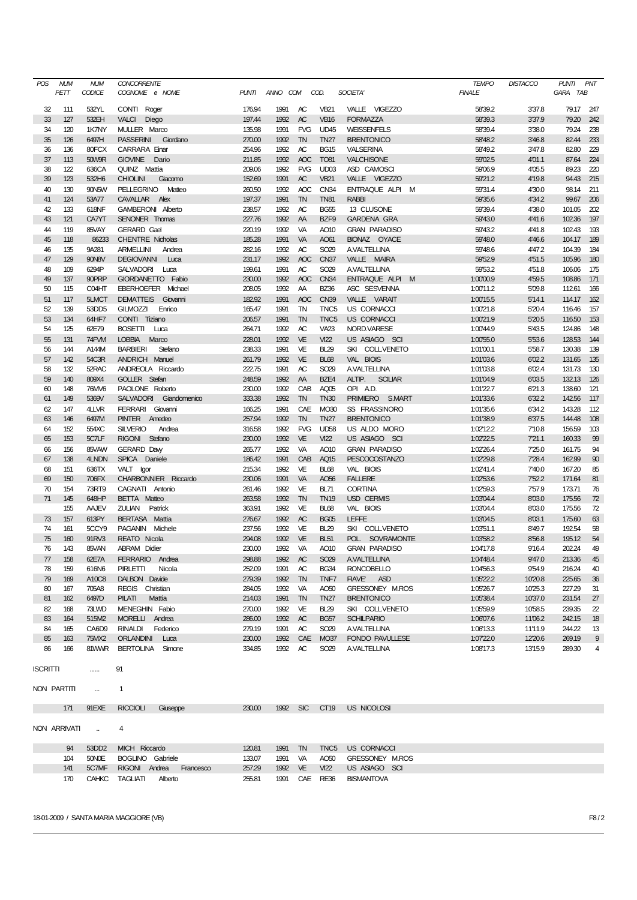| POS             | <b>NUM</b>     | <b>NUM</b>        | <b>CONCORRENTE</b>               |              |          |                 |                  |                             | <b>TEMPO</b>  | <b>DISTACCO</b> | <b>PUNTI</b> | <b>PNT</b>       |
|-----------------|----------------|-------------------|----------------------------------|--------------|----------|-----------------|------------------|-----------------------------|---------------|-----------------|--------------|------------------|
|                 | PETT           | <b>CODICE</b>     | COGNOME e NOME                   | <b>PUNTI</b> | ANNO COM |                 | COD.             | SOCIETA'                    | <b>FINALE</b> |                 | GARA TAB     |                  |
| 32              | 111            | 532YL             | CONTI Roger                      | 176.94       | 1991     | AC              | <b>VB21</b>      | VALLE VIGEZZO               | 58'39.2       | 3'37.8          | 79.17        | 247              |
| 33              | 127            | 532EH             | <b>VALCI</b><br>Diego            | 197.44       | 1992     | AC              | <b>VB16</b>      | <b>FORMAZZA</b>             | 58'39.3       | 3'37.9          | 79.20        | 242              |
| 34              | 120            | 1K7NY             | MULLER Marco                     | 135.98       | 1991     | <b>FVG</b>      | <b>UD45</b>      | <b>WEISSENFELS</b>          | 58'39.4       | 3'38.0          | 79.24        | 238              |
| 35              | 126            | 6497H             | <b>PASSERINI</b><br>Giordano     | 270.00       | 1992     | <b>TN</b>       | <b>TN27</b>      | <b>BRENTONICO</b>           | 58'48.2       | 3'46.8          | 82.44        | 233              |
| 36              | 136            | 80FCX             | <b>CARRARA Einar</b>             | 254.96       | 1992     | AC              | <b>BG15</b>      | <b>VALSERINA</b>            | 58'49.2       | 3'47.8          | 82.80        | 229              |
| 37              | 113            | 50W9R             | <b>GIOVINE</b><br>Dario          | 211.85       | 1992     | AOC             | <b>TO81</b>      | <b>VALCHISONE</b>           | 59'02.5       | 4'01.1          | 87.64        | 224              |
| 38              | 122            | 636CA             | QUINZ Mattia                     | 209.06       | 1992     | <b>FVG</b>      | <b>UD03</b>      | ASD CAMOSCI                 | 59'06.9       | 4'05.5          | 89.23        | 220              |
| 39              | 123            | 532H6             | <b>CHIOLINI</b><br>Giacomo       | 152.69       | 1991     | AC              | <b>VB21</b>      | VALLE VIGEZZO               | 59'21.2       | 4'19.8          | 94.43        | 215              |
| 40              | 130            | 90N5W             | <b>PELLEGRINO</b><br>Matteo      | 260.50       | 1992     | AOC             | <b>CN34</b>      | ENTRAQUE ALPI<br>M          | 59'31.4       | 4'30.0          | 98.14        | 211              |
| 41              | 124            | 53A77             | CAVALLAR Alex                    | 197.37       | 1991     | <b>TN</b>       | <b>TN81</b>      | <b>RABBI</b>                | 59'35.6       | 4'34.2          | 99.67        | 206              |
| 42              | 133            | 618NF             | GAMBERONI Alberto                | 238.57       | 1992     | AC              | <b>BG55</b>      | 13 CLUSONE                  | 59'39.4       | 4'38.0          | 101.05       | 202              |
| 43              | 121            | CA7YT             | SENONER Thomas                   | 227.76       | 1992     | AA              | BZF9             | <b>GARDENA GRA</b>          | 59'43.0       | 4'41.6          | 102.36       | 197              |
| 44              | 119            | 85VAY             | <b>GERARD Gael</b>               | 220.19       | 1992     | VA              | AO10             | <b>GRAN PARADISO</b>        | 59'43.2       | 4'41.8          | 102.43       | 193              |
| 45              | 118            | 86233             | <b>CHENTRE Nicholas</b>          | 185.28       | 1991     | VA              | AO61             | BIONAZ OYACE                | 59'48.0       | 4'46.6          | 104.17       | 189              |
| 46              | 135            | 9A281             | <b>ARMELLINI</b><br>Andrea       | 282.16       | 1992     | AC              | SO29             | <b>A.VALTELLINA</b>         | 5948.6        | 4'47.2          | 104.39       | 184              |
| 47              | 129            | <b>90N8V</b>      | <b>DEGIOVANNI</b><br>Luca        | 231.17       | 1992     | <b>AOC</b>      | <b>CN37</b>      | VALLE MAIRA                 | 59'52.9       | 4'51.5          | 105.96       | 180              |
| 48              | 109            | 6294P             | <b>SALVADORI</b><br>Luca         | 199.61       | 1991     | AC              | SO <sub>29</sub> | <b>A.VALTELLINA</b>         | 59'53.2       | 4'51.8          | 106.06       | 175              |
| 49              | 137            | 90PRP             | GIORDANETTO Fabio                | 230.00       | 1992     | AOC             | <b>CN34</b>      | ENTRAQUE ALPI<br>M          | 1:00'00.9     | 4'59.5          | 108.86       | 171              |
| 50              | 115            | C04HT             | EBERHOEFER Michael               | 208.05       | 1992     | AA              | <b>BZ36</b>      | ASC SESVENNA                | 1:00'11.2     | 5'09.8          | 112.61       | 166              |
| 51              | 117            | 5LMCT             | DEMATTEIS Giovanni               | 182.92       | 1991     | <b>AOC</b>      | <b>CN39</b>      | VALLE VARAIT                | 1:00'15.5     | 5'14.1          | 114.17       | 162              |
| 52              | 139            | 53DD5             | <b>GILMOZZI</b><br>Enrico        | 165.47       | 1991     | <b>TN</b>       | TNC <sub>5</sub> | <b>US CORNACCI</b>          | 1:00'21.8     | 5'20.4          | 116.46       | 157              |
| 53              | 134            | 64HF7             | CONTI Tiziano                    | 206.57       | 1991     | <b>TN</b>       | TNC <sub>5</sub> | <b>US CORNACCI</b>          | 1:00'21.9     | 5'20.5          | 116.50       | 153              |
| 54              | 125            | 62E79             | <b>BOSETTI</b><br>Luca           | 264.71       | 1992     | AC              | <b>VA23</b>      | NORD.VARESE                 | 1:00'44.9     | 5'43.5          | 124.86       | 148              |
| 55              | 131            | 74FVM             | <b>LOBBIA</b><br>Marco           | 228.01       | 1992     | <b>VE</b>       | V122             | US ASIAGO SCI               | 1:00'55.0     | 5'53.6          | 128.53       | 144              |
| 56              | 144            | A144M             | <b>BARBIERI</b><br>Stefano       | 238.33       | 1991     | VE              | <b>BL29</b>      | SKI COLLVENETO              | 1:01'00.1     | 5'58.7          | 130.38       | 139              |
| 57              | 142            | 54C3R             | <b>ANDRICH Manuel</b>            | 261.79       | 1992     | VE              | <b>BL68</b>      | VAL BIOIS                   | 1:01'03.6     | 6'02.2          | 131.65       | 135              |
| 58              | 132            | 52RAC             | ANDREOLA Riccardo                | 222.75       | 1991     | AC              | SO <sub>29</sub> | <b>A.VALTELLINA</b>         | 1:01'03.8     | 6'02.4          | 131.73       | 130              |
| 59              | 140            | 809X4             | <b>GOLLER</b> Stefan             | 248.59       | 1992     | AA              | BZE4             | ALTIP.<br><b>SCILIAR</b>    | 1:01'04.9     | 6'03.5          | 132.13       | 126              |
| 60              | 148            | 76MV6             | PAOLONE Roberto                  | 230.00       | 1992     | CAB             | AQ05             | OPI A.D.                    | 1:01'22.7     | 6'21.3          | 138.60       | 121              |
| 61              | 149            | 5369V             | <b>SALVADORI</b><br>Giandomenico | 333.38       | 1992     | <b>TN</b>       | <b>TN30</b>      | PRIMIERO S.MART             | 1:01'33.6     | 6'32.2          | 142.56       | 117              |
| 62              | 147            | 4LLVR             | FERRARI Giovanni                 | 166.25       | 1991     | CAE             | MO30             | SS FRASSINORO               | 1:01'35.6     | 6'34.2          | 143.28       | 112              |
| 63              | 146            | 6497M             | PINTER Amedeo                    | 257.94       | 1992     | <b>TN</b>       | <b>TN27</b>      | <b>BRENTONICO</b>           | 1:01'38.9     | 6'37.5          | 144.48       | 108              |
| 64              | 152            | 554XC             | <b>SILVERIO</b><br>Andrea        | 316.58       | 1992     | <b>FVG</b>      | <b>UD58</b>      | US ALDO MORO                | 1:02'12.2     | 7'10.8          | 156.59       | 103              |
| 65              | 153            | 5C7LF             | RIGONI Stefano                   | 230.00       | 1992     | VE              | <b>VI22</b>      | US ASIAGO SCI               | 1:02'22.5     | 7'21.1          | 160.33       | 99               |
| 66              | 156            | 85VAW             | <b>GERARD Day</b>                | 265.77       | 1992     | VA              | AO10             | <b>GRAN PARADISO</b>        | 1:02'26.4     | 7'25.0          | 161.75       | 94               |
| 67              | 138            | 4LNDN             | SPICA Daniele                    | 186.42       | 1991     | CAB             | AQ15             | PESCOCOSTANZO               | 1:02'29.8     | 7'28.4          | 162.99       | 90               |
| 68              | 151            | 636TX             | VALT Igor                        | 215.34       | 1992     | VE              | <b>BL68</b>      | VAL BIOIS                   | 1:02'41.4     | 7'40.0          | 167.20       | 85               |
| 69              | 150            | 706FX             | CHARBONNIER Riccardo             | 230.06       | 1991     | VA              | AO <sub>56</sub> | <b>FALLERE</b>              | 1:02'53.6     | 752.2           | 171.64       | 81               |
| 70              | 154            | 73RT9             | CAGNATI Antonio                  | 261.46       | 1992     | VE              | <b>BL71</b>      | <b>CORTINA</b>              | 1:02'59.3     | 7'57.9          | 173.71       | 76               |
| 71              | 145            | 648HP             | <b>BETTA</b> Matteo              | 263.58       | 1992     | <b>TN</b>       | <b>TN19</b>      | <b>USD CERMIS</b>           | 1:03'04.4     | 8'03.0          | 175.56       | 72               |
|                 | 155            | AAJEV             | ZULIAN<br>Patrick                | 363.91       | 1992     | VE              | <b>BL68</b>      | VAL BIOIS                   | 1:03'04.4     | 8'03.0          | 175.56       | 72               |
| 73              | 157            | 613PY             | <b>BERTASA Mattia</b>            | 276.67       | 1992     | AC              | <b>BG05</b>      | <b>LEFFE</b>                | 1:03'04.5     | 8'03.1          | 175.60       | 63               |
| 74              | 161            | 5CCY9             | PAGANIN Michele                  | 237.56       | 1992     | VE              | <b>BL29</b>      | SKI COLLVENETO              | 1:03'51.1     | 8'49.7          | 192.54       | 58               |
| 75              | 160            | 91RV3             | <b>REATO Nicola</b>              | 294.08       | 1992     | <b>VE</b>       | <b>BL51</b>      | POL.<br><b>SOVRAMONTE</b>   | 1:03'58.2     | 8'56.8          | 195.12       | 54               |
| 76              | 143            | 85VAN             | <b>ABRAM Didier</b>              | 230.00       | 1992     | VA              | AO10             | <b>GRAN PARADISO</b>        | 1:04'17.8     | 9'16.4          | 202.24       | 49               |
| $77\,$          | 158            | 62E7A             | <b>FERRARIO</b><br>Andrea        | 298.88       | 1992     | AC              | SO <sub>29</sub> | <b>A.VALTELLINA</b>         | 1:04'48.4     | 9'47.0          | 213.36       | 45               |
| 78              | 159            | 616N6             | <b>PIRLETTI</b><br>Nicola        | 252.09       | 1991     | AC              | <b>BG34</b>      | <b>RONCOBELLO</b>           | 1:04'56.3     | 9'54.9          | 216.24       | 40               |
| 79              | 169            | A10C8             | DALBON Davide                    | 279.39       | 1992     | <b>TN</b>       | TNF7             | <b>FIAVE'</b><br><b>ASD</b> | 1:05'22.2     | 10'20.8         | 225.65       | 36               |
| 80              | 167            | 705A8             | REGIS Christian                  | 284.05       | 1992     | VA              | AO <sub>50</sub> | GRESSONEY M.ROS             | 1:05'26.7     | 10'25.3         | 227.29       | 31               |
| 81              | 162            | 6497D             | <b>PILATI</b><br>Mattia          | 214.03       | 1991     | <b>TN</b>       | <b>TN27</b>      | <b>BRENTONICO</b>           | 1:05'38.4     | 10'37.0         | 231.54       | 27               |
| 82              | 168            | 73LWD             | MENEGHIN Fabio                   | 270.00       | 1992     | VE              | <b>BL29</b>      | SKI COLLVENETO              | 1:05'59.9     | 10'58.5         | 239.35       | $\boldsymbol{2}$ |
| 83              | 164            | 515M2             | MORELLI Andrea                   | 286.00       | 1992     | AC              | <b>BG57</b>      | <b>SCHILPARIO</b>           | 1:06'07.6     | 11'06.2         | 242.15       | 18               |
| 84              | 165            | CA6D <sub>9</sub> | <b>RINALDI</b><br>Federico       | 279.19       | 1991     | AC              | SO <sub>29</sub> | <b>A.VALTELLINA</b>         | 1:06'13.3     | 11'11.9         | 244.22       | 13               |
| 85              | 163            | 75MX2             | <b>ORLANDINI</b><br>Luca         | 230.00       | 1992     | CAE             | <b>MO37</b>      | FONDO PAVULLESE             | 1:0722.0      | 12'20.6         | 269.19       | 9                |
| 86              | 166            | 81WWR             | BERTOLINA Simone                 | 334.85       | 1992     | AC              | SO <sub>29</sub> | <b>AVALTELLINA</b>          | 1:08'17.3     | 13'15.9         | 289.30       | 4                |
|                 |                |                   |                                  |              |          |                 |                  |                             |               |                 |              |                  |
| <b>ISCRITTI</b> |                |                   | 91                               |              |          |                 |                  |                             |               |                 |              |                  |
|                 |                |                   |                                  |              |          |                 |                  |                             |               |                 |              |                  |
|                 | NON PARTITI    | ш,                | 1                                |              |          |                 |                  |                             |               |                 |              |                  |
|                 |                |                   |                                  |              |          |                 |                  |                             |               |                 |              |                  |
|                 | 171            | 91EXE             | <b>RICCIOLI</b><br>Giuseppe      | 230.00       | 1992     | <b>SIC</b>      | CT <sub>19</sub> | US NICOLOSI                 |               |                 |              |                  |
|                 |                |                   |                                  |              |          |                 |                  |                             |               |                 |              |                  |
|                 | NON ARRIVATI   | $\sim$            | 4                                |              |          |                 |                  |                             |               |                 |              |                  |
|                 |                |                   |                                  |              |          |                 |                  |                             |               |                 |              |                  |
|                 | 94             | 53DD2             | MICH Riccardo                    | 120.81       | 1991     | <b>TN</b>       | TNC <sub>5</sub> | <b>US CORNACCI</b>          |               |                 |              |                  |
|                 | 1 <sub>0</sub> | <b>50NOF</b>      | ROGLINO Gabriele                 | 13307        | 1001     | $\sqrt{\Delta}$ | <b>AO50</b>      | GRESSONEY MROS              |               |                 |              |                  |